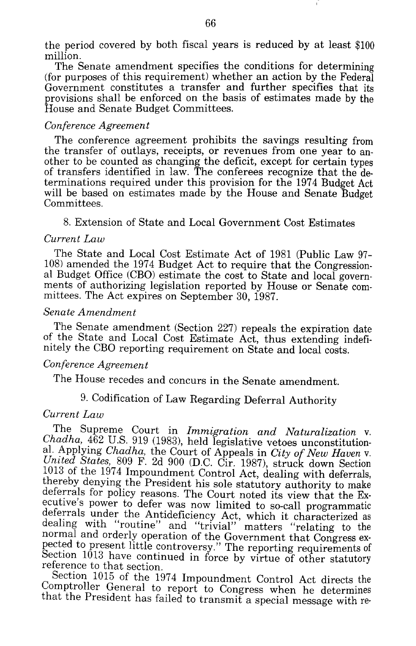the period covered by both fiscal years is reduced by at least \$100 million.<br>The Senate amendment specifies the conditions for determining

 $f$  (for purposes of this requirement) whether an action by the Federal Government constitutes a transfer and further specifies that its provisions shall be enforced on the basis of estimates made by the House and Senate Budget Committees.

#### *Conference Agreement*

The conference agreement prohibits the savings resulting from the transfer of outlays, receipts, or revenues from one year to an-<br>other to be counted as changing the deficit, except for certain types of transfers identified in law. The conferees recognize that the determinations required under this provision for the 1974 Budget Act will be based on estimates made by the House and Senate Budget Committees.

8. Extension of State and Local Government Cost Estimates

### *Current Law*

The State and Local Cost Estimate Act of 1981 (Public Law 97- 108) amended the 1974 Budget Act to require that the Congression-<br>al Budget Office (CBO) estimate the cost to State and local govern-<br>ments of authorizing legislation reported by House or Senate committees. The Act expires on September 30, 1987.

## *Senate Amendment*

The Senate amendment (Section 227) repeals the expiration date of the State and Local Cost Estimate Act, thus extending indefinitely the CBO reporting requirement on State and local costs.

#### *Conference Agreement*

The House recedes and concurs in the Senate amendment.

# 9. Codification of Law Regarding Deferral Authority

### *Current Law*

The Supreme Court in *Immigration and Naturalization v. Chadha,* 462 U.S. 919 (1983), held legislative vetoes unconstitutional. Applying *Chadha,* the Court of Appeals in *City of New Haven* v. *United States,* 809 F. 2d 900 (D.C. Cir. 1987), struck down Section 1013 of the 1974 Impoundment Control Act, dealing with deferrals, thereby denying the President his sole statutory authority to make deferrals for policy reasons. The Court noted its view that the Executive's power to defer was now limited to so-call programmatic deferrals under the Antideficiency Act, which it characterized as dealing with "routine" and "trivial" matters "relating to the normal and orderly operation of the Government that Congress ex-<br>pected to present little controversy." The reporting requirements of Section 1013 have continued in force by virtue of other statutory reference to that section.

Section 1015 of the 1974 Impoundment Control Act directs the Comptroller General to report to Congress when he determines that the President has failed to transmit a special message with re